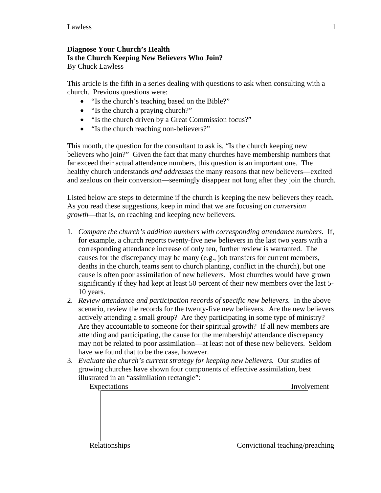## **Diagnose Your Church's Health Is the Church Keeping New Believers Who Join?**

By Chuck Lawless

This article is the fifth in a series dealing with questions to ask when consulting with a church. Previous questions were:

- "Is the church's teaching based on the Bible?"
- "Is the church a praying church?"
- "Is the church driven by a Great Commission focus?"
- "Is the church reaching non-believers?"

This month, the question for the consultant to ask is, "Is the church keeping new believers who join?" Given the fact that many churches have membership numbers that far exceed their actual attendance numbers, this question is an important one. The healthy church understands *and addresses* the many reasons that new believers—excited and zealous on their conversion—seemingly disappear not long after they join the church.

Listed below are steps to determine if the church is keeping the new believers they reach. As you read these suggestions, keep in mind that we are focusing on *conversion growth*—that is, on reaching and keeping new believers.

- 1. *Compare the church's addition numbers with corresponding attendance numbers.* If, for example, a church reports twenty-five new believers in the last two years with a corresponding attendance increase of only ten, further review is warranted. The causes for the discrepancy may be many (e.g., job transfers for current members, deaths in the church, teams sent to church planting, conflict in the church), but one cause is often poor assimilation of new believers. Most churches would have grown significantly if they had kept at least 50 percent of their new members over the last 5- 10 years.
- 2. *Review attendance and participation records of specific new believers.* In the above scenario, review the records for the twenty-five new believers. Are the new believers actively attending a small group? Are they participating in some type of ministry? Are they accountable to someone for their spiritual growth? If all new members are attending and participating, the cause for the membership/ attendance discrepancy may not be related to poor assimilation—at least not of these new believers. Seldom have we found that to be the case, however.
- 3. *Evaluate the church's current strategy for keeping new believers.* Our studies of growing churches have shown four components of effective assimilation, best illustrated in an "assimilation rectangle":